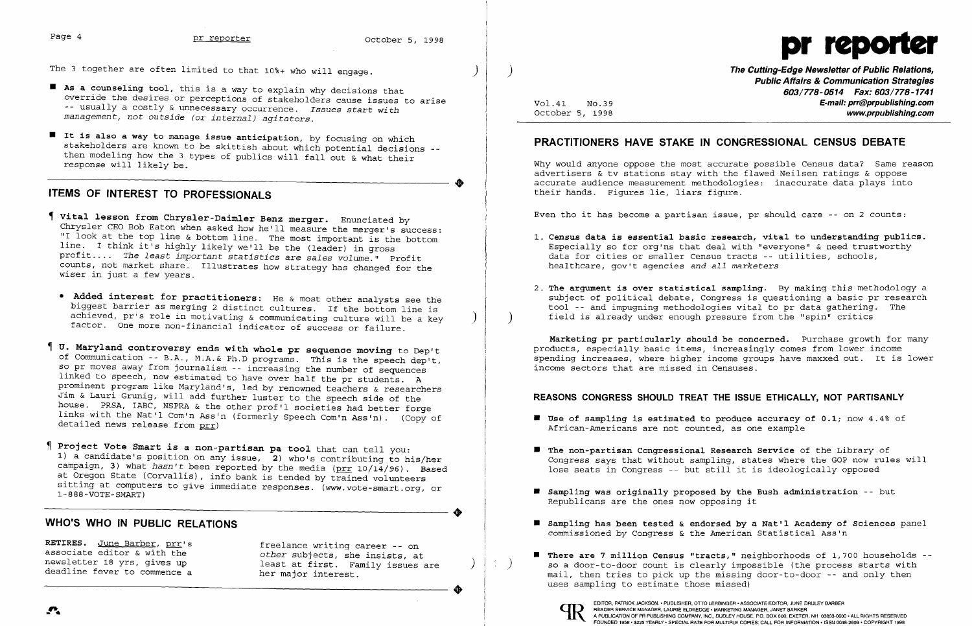$\clubsuit$ 

 $\bullet$ 

 $\bullet$ 

The 3 together are often limited to that  $10*$ + who will engage.

- As a counseling tool, this is a way to explain why decisions that override the desires or perceptions of stakeholders cause issues to arise -- usually a costly & unnecessary occurrence. Issues start *with management, not outside* (or *internal) agitators.*
- I It is also a way to manage issue anticipation, by focusing on which stakeholders are known to be skittish about which potential decisions then modeling how the 3 types of publics will fall out & what their Ï response will likely be.

- Vital lesson from Chrysler-Daimler Benz merger. Enunciated by Chrysler CEO Bob Eaton when asked how he'll measure the merger's success: "I look at the top line & bottom line. The most important is the bottom line. I think it's highly likely we'll be the (leader) in gross profit .... *The least important statistics* are *sales volume."* Profit counts, not market share. Illustrates how strategy has changed for the wiser in just a few years.
	- Added interest for practitioners: He & most other analysts see the biggest barrier as merging 2 distinct cultures. If the bottom line is achieved, pr's role in motivating & communicating culture will be a key factor. One more non-financial indicator of success or failure.
- U. Maryland controversy ends with whole pr sequence moving to Dep't of Communication -- B.A., M.A.& Ph.D programs. This is the speech dep't, so pr moves away from journalism -- increasing the number of sequences linked to speech, now estimated to have over half the pr students. A prominent program like Maryland's, led by renowned teachers & researchers Jim & Lauri Grunig, will add further luster to the speech side of the house. PRSA, IABC, NSPRA & the other prof'l societies had better forge links with the Nat'l Com'n Ass'n (formerly Speech Com'n Ass'n). (Copy of detailed news release from prr)

# ITEMS OF INTEREST TO PROFESSIONALS

Project Vote Smart is a non-partisan pa tool that can tell you: 1) a candidate's position on any issue, 2) who's contributing to his/her campaign, 3) what *hasn't* been reported by the media (prr 10/14/96). Based at Oregon State (Corvallis), info bank is tended by trained volunteers sitting at computers to give immediate responses. (www.vote-smart.org, or 1-888-VOTE-SMART)

) The Cutting-Edge Newsletter of Public Relations, Public Affairs & Communication Strategies 603/778-0514 Fax: 603/778-1741 Vol.41 No.39 **E-mail: prr@prpublishing.com**<br>October 5, 1998 **Contains and Contains and Contains and Contains and Contains and Contains and Contains and Co** www.prpublishing.com

1. Census data is essential basic research, vital to understanding publics. Especially so for org'ns that deal with "everyone" & need trustworthy

2. The argument is over statistical sampling. By making this methodology a subject of political debate, Congress is questioning a basic pr research tool -- and impugning methodologies vital to pr data gathering. The

# WHO'S WHO IN PUBLIC RELATIONS



RETIRES. June Barber, prr's freelance writing career -- on associate editor & with the district other subjects, she insists, at deadline fever to commence a

- $\blacksquare$  Use of sampling is estimated to produce accuracy of 0.1; now 4.4% of African-Americans are not counted, as one example
- $\blacksquare$  The non-partisan Congressional Research Service of the Library of lose seats in Congress -- but still it is ideologically opposed
- $\blacksquare$  Sampling was originally proposed by the Bush administration -- but Republicans are the ones now opposing it
- commissioned by Congress & the American Statistical Ass'n
- uses sampling to estimate those missed)

# PRACTITIONERS HAVE STAKE IN CONGRESSIONAL CENSUS DEBATE

Why would anyone oppose the most accurate possible Census data? Same reason advertisers & tv stations stay with the flawed Neilsen ratings & oppose accurate audience measurement methodologies: inaccurate data plays into their hands. Figures lie, liars figure.

Even tho it has become a partisan issue, pr should care -- on 2 counts:

- data for cities or smaller Census tracts -- utilities, schools, healthcare, gov't agencies *and all marketers*
- ) field is already under enough pressure from the "spin" critics

Marketing pr particularly should be concerned. Purchase growth for many products, especially basic items, increasingly comes from lower income spending increases, where higher income groups have maxxed out. It is lower income sectors that are missed in Censuses.

### REASONS CONGRESS SHOULD TREAT THE ISSUE ETHICALLY, NOT PARTISANLY

Congress says that without sampling, states where the GOP now rules will

 $\blacksquare$  Sampling has been tested & endorsed by a Nat'l Academy of Sciences panel

associate editor & with the *other s*ubjects, she insists, at **Fig. 19** There are 7 million Census "tracts," neighborhoods of 1,700 households --<br>newsletter 18 yrs, gives up least at first. Family issues are (1) So a doorleast at first. Family issues are  $\begin{pmatrix} | & | & | & | \end{pmatrix}$  so a door-to-door count is clearly impossible (the process starts with her maior interest. mail, then tries to pick up the missing door-to-door -- and only then